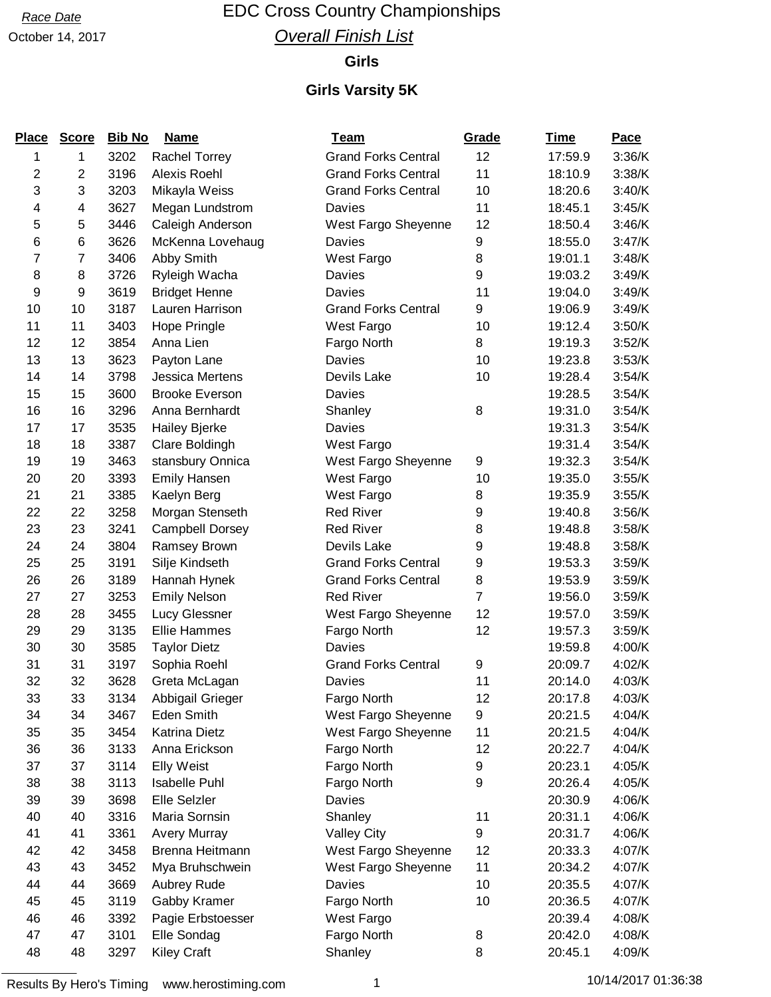## Race Date **EDC Cross Country Championships Overall Finish List**

#### **Girls**

| <b>Place</b>            | <b>Score</b>   | <b>Bib No</b> | <b>Name</b>            | <b>Team</b>                | Grade          | <b>Time</b> | <b>Pace</b> |
|-------------------------|----------------|---------------|------------------------|----------------------------|----------------|-------------|-------------|
| 1                       | 1              | 3202          | <b>Rachel Torrey</b>   | <b>Grand Forks Central</b> | 12             | 17:59.9     | 3:36/K      |
| $\overline{\mathbf{c}}$ | $\overline{c}$ | 3196          | Alexis Roehl           | <b>Grand Forks Central</b> | 11             | 18:10.9     | 3:38/K      |
| 3                       | 3              | 3203          | Mikayla Weiss          | <b>Grand Forks Central</b> | 10             | 18:20.6     | 3:40/K      |
| 4                       | 4              | 3627          | Megan Lundstrom        | Davies                     | 11             | 18:45.1     | 3:45/K      |
| 5                       | 5              | 3446          | Caleigh Anderson       | West Fargo Sheyenne        | 12             | 18:50.4     | 3:46/K      |
| 6                       | 6              | 3626          | McKenna Lovehaug       | Davies                     | 9              | 18:55.0     | 3:47/K      |
| 7                       | 7              | 3406          | Abby Smith             | West Fargo                 | 8              | 19:01.1     | 3:48/K      |
| 8                       | 8              | 3726          | Ryleigh Wacha          | Davies                     | 9              | 19:03.2     | 3:49/K      |
| 9                       | 9              | 3619          | <b>Bridget Henne</b>   | Davies                     | 11             | 19:04.0     | 3:49/K      |
| 10                      | 10             | 3187          | Lauren Harrison        | <b>Grand Forks Central</b> | 9              | 19:06.9     | 3:49/K      |
| 11                      | 11             | 3403          | Hope Pringle           | West Fargo                 | 10             | 19:12.4     | 3:50/K      |
| 12                      | 12             | 3854          | Anna Lien              | Fargo North                | 8              | 19:19.3     | 3:52/K      |
| 13                      | 13             | 3623          | Payton Lane            | Davies                     | 10             | 19:23.8     | 3:53/K      |
| 14                      | 14             | 3798          | <b>Jessica Mertens</b> | Devils Lake                | 10             | 19:28.4     | 3:54/K      |
| 15                      | 15             | 3600          | <b>Brooke Everson</b>  | Davies                     |                | 19:28.5     | 3:54/K      |
| 16                      | 16             | 3296          | Anna Bernhardt         | Shanley                    | 8              | 19:31.0     | 3:54/K      |
| 17                      | 17             | 3535          | Hailey Bjerke          | Davies                     |                | 19:31.3     | 3:54/K      |
| 18                      | 18             | 3387          | Clare Boldingh         | West Fargo                 |                | 19:31.4     | 3:54/K      |
| 19                      | 19             | 3463          | stansbury Onnica       | West Fargo Sheyenne        | 9              | 19:32.3     | 3:54/K      |
| 20                      | 20             | 3393          | Emily Hansen           | West Fargo                 | 10             | 19:35.0     | 3:55/K      |
| 21                      | 21             | 3385          | Kaelyn Berg            | West Fargo                 | 8              | 19:35.9     | 3:55/K      |
| 22                      | 22             | 3258          | Morgan Stenseth        | <b>Red River</b>           | 9              | 19:40.8     | 3:56/K      |
| 23                      | 23             | 3241          | <b>Campbell Dorsey</b> | <b>Red River</b>           | 8              | 19:48.8     | 3:58/K      |
| 24                      | 24             | 3804          | Ramsey Brown           | Devils Lake                | 9              | 19:48.8     | 3:58/K      |
| 25                      | 25             | 3191          | Silje Kindseth         | <b>Grand Forks Central</b> | 9              | 19:53.3     | 3:59/K      |
| 26                      | 26             | 3189          | Hannah Hynek           | <b>Grand Forks Central</b> | 8              | 19:53.9     | 3:59/K      |
| 27                      | 27             | 3253          | <b>Emily Nelson</b>    | <b>Red River</b>           | $\overline{7}$ | 19:56.0     | 3:59/K      |
| 28                      | 28             | 3455          | Lucy Glessner          | West Fargo Sheyenne        | 12             | 19:57.0     | 3:59/K      |
| 29                      | 29             | 3135          | <b>Ellie Hammes</b>    | Fargo North                | 12             | 19:57.3     | 3:59/K      |
| 30                      | 30             | 3585          | <b>Taylor Dietz</b>    | Davies                     |                | 19:59.8     | 4:00/K      |
| 31                      | 31             | 3197          | Sophia Roehl           | <b>Grand Forks Central</b> | 9              | 20:09.7     | 4:02/K      |
| 32                      | 32             | 3628          | Greta McLagan          | Davies                     | 11             | 20:14.0     | 4:03/K      |
| 33                      | 33             | 3134          | Abbigail Grieger       | Fargo North                | 12             | 20:17.8     | 4:03/K      |
| 34                      | 34             | 3467          | Eden Smith             | West Fargo Sheyenne        | 9              | 20:21.5     | 4:04/K      |
| 35                      | 35             | 3454          | <b>Katrina Dietz</b>   | West Fargo Sheyenne        | 11             | 20:21.5     | 4:04/K      |
| 36                      | 36             | 3133          | Anna Erickson          | Fargo North                | 12             | 20:22.7     | 4:04/K      |
| 37                      | 37             | 3114          | <b>Elly Weist</b>      | Fargo North                | 9              | 20:23.1     | 4:05/K      |
| 38                      | 38             | 3113          | Isabelle Puhl          | Fargo North                | 9              | 20:26.4     | 4:05/K      |
| 39                      | 39             | 3698          | Elle Selzler           | Davies                     |                | 20:30.9     | 4:06/K      |
| 40                      | 40             | 3316          | Maria Sornsin          | Shanley                    | 11             | 20:31.1     | 4:06/K      |
| 41                      | 41             | 3361          | <b>Avery Murray</b>    | <b>Valley City</b>         | 9              | 20:31.7     | 4:06/K      |
| 42                      | 42             | 3458          | Brenna Heitmann        | West Fargo Sheyenne        | 12             | 20:33.3     | 4:07/K      |
| 43                      | 43             | 3452          | Mya Bruhschwein        | West Fargo Sheyenne        | 11             | 20:34.2     | 4:07/K      |
| 44                      | 44             | 3669          | Aubrey Rude            | Davies                     | 10             | 20:35.5     | 4:07/K      |
| 45                      | 45             | 3119          | Gabby Kramer           | Fargo North                | 10             | 20:36.5     | 4:07/K      |
| 46                      | 46             | 3392          | Pagie Erbstoesser      | West Fargo                 |                | 20:39.4     | 4:08/K      |
| 47                      | 47             | 3101          | Elle Sondag            | Fargo North                | 8              | 20:42.0     | 4:08/K      |
| 48                      | 48             | 3297          | <b>Kiley Craft</b>     | Shanley                    | 8              | 20:45.1     | 4:09/K      |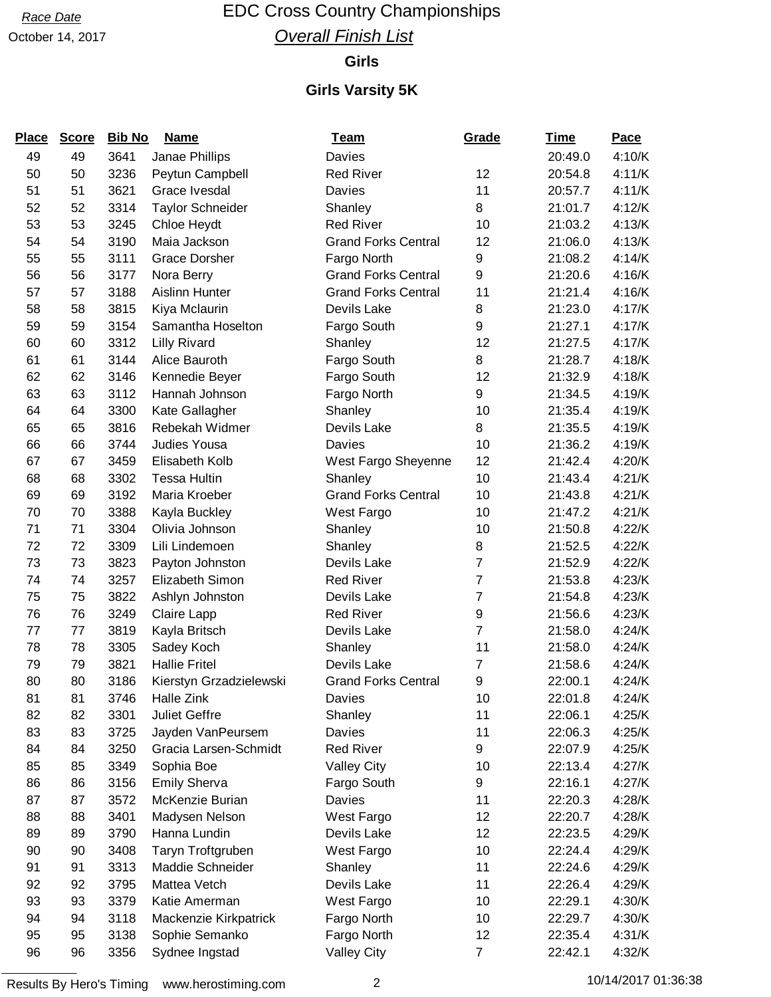## Race Date **EDC Cross Country Championships Overall Finish List**

#### **Girls**

| <b>Place</b> | <b>Score</b> | <b>Bib No</b> | <b>Name</b>             | <b>Team</b>                | Grade          | <u>Time</u> | Pace   |
|--------------|--------------|---------------|-------------------------|----------------------------|----------------|-------------|--------|
| 49           | 49           | 3641          | Janae Phillips          | Davies                     |                | 20:49.0     | 4:10/K |
| 50           | 50           | 3236          | Peytun Campbell         | <b>Red River</b>           | 12             | 20:54.8     | 4:11/K |
| 51           | 51           | 3621          | Grace Ivesdal           | Davies                     | 11             | 20:57.7     | 4:11/K |
| 52           | 52           | 3314          | <b>Taylor Schneider</b> | Shanley                    | 8              | 21:01.7     | 4:12/K |
| 53           | 53           | 3245          | Chloe Heydt             | <b>Red River</b>           | 10             | 21:03.2     | 4:13/K |
| 54           | 54           | 3190          | Maia Jackson            | <b>Grand Forks Central</b> | 12             | 21:06.0     | 4:13/K |
| 55           | 55           | 3111          | <b>Grace Dorsher</b>    | Fargo North                | 9              | 21:08.2     | 4:14/K |
| 56           | 56           | 3177          | Nora Berry              | <b>Grand Forks Central</b> | 9              | 21:20.6     | 4:16/K |
| 57           | 57           | 3188          | Aislinn Hunter          | <b>Grand Forks Central</b> | 11             | 21:21.4     | 4:16/K |
| 58           | 58           | 3815          | Kiya Mclaurin           | Devils Lake                | 8              | 21:23.0     | 4:17/K |
| 59           | 59           | 3154          | Samantha Hoselton       | Fargo South                | 9              | 21:27.1     | 4:17/K |
| 60           | 60           | 3312          | <b>Lilly Rivard</b>     | Shanley                    | 12             | 21:27.5     | 4:17/K |
| 61           | 61           | 3144          | Alice Bauroth           | Fargo South                | 8              | 21:28.7     | 4:18/K |
| 62           | 62           | 3146          | Kennedie Beyer          | Fargo South                | 12             | 21:32.9     | 4:18/K |
| 63           | 63           | 3112          | Hannah Johnson          | Fargo North                | 9              | 21:34.5     | 4:19/K |
| 64           | 64           | 3300          | Kate Gallagher          | Shanley                    | 10             | 21:35.4     | 4:19/K |
| 65           | 65           | 3816          | Rebekah Widmer          | Devils Lake                | 8              | 21:35.5     | 4:19/K |
| 66           | 66           | 3744          | Judies Yousa            | Davies                     | 10             | 21:36.2     | 4:19/K |
| 67           | 67           | 3459          | Elisabeth Kolb          | West Fargo Sheyenne        | 12             | 21:42.4     | 4:20/K |
| 68           | 68           | 3302          | <b>Tessa Hultin</b>     | Shanley                    | 10             | 21:43.4     | 4:21/K |
| 69           | 69           | 3192          | Maria Kroeber           | <b>Grand Forks Central</b> | 10             | 21:43.8     | 4:21/K |
| 70           | 70           | 3388          | Kayla Buckley           | West Fargo                 | 10             | 21:47.2     | 4:21/K |
| 71           | 71           | 3304          | Olivia Johnson          | Shanley                    | 10             | 21:50.8     | 4:22/K |
| 72           | 72           | 3309          | Lili Lindemoen          | Shanley                    | 8              | 21:52.5     | 4:22/K |
| 73           | 73           | 3823          | Payton Johnston         | Devils Lake                | $\overline{7}$ | 21:52.9     | 4:22/K |
| 74           | 74           | 3257          | Elizabeth Simon         | <b>Red River</b>           | $\overline{7}$ | 21:53.8     | 4:23/K |
| 75           | 75           | 3822          | Ashlyn Johnston         | Devils Lake                | 7              | 21:54.8     | 4:23/K |
| 76           | 76           | 3249          | Claire Lapp             | <b>Red River</b>           | 9              | 21:56.6     | 4:23/K |
| 77           | 77           | 3819          | Kayla Britsch           | Devils Lake                | $\overline{7}$ | 21:58.0     | 4:24/K |
| 78           | 78           | 3305          | Sadey Koch              | Shanley                    | 11             | 21:58.0     | 4:24/K |
| 79           | 79           | 3821          | <b>Hallie Fritel</b>    | Devils Lake                | 7              | 21:58.6     | 4:24/K |
| 80           | 80           | 3186          | Kierstyn Grzadzielewski | <b>Grand Forks Central</b> | 9              | 22:00.1     | 4:24/K |
| 81           | 81           | 3746          | Halle Zink              | Davies                     | 10             | 22:01.8     | 4:24/K |
| 82           | 82           | 3301          | <b>Juliet Geffre</b>    | Shanley                    | 11             | 22:06.1     | 4:25/K |
| 83           | 83           | 3725          | Jayden VanPeursem       | Davies                     | 11             | 22:06.3     | 4:25/K |
| 84           | 84           | 3250          | Gracia Larsen-Schmidt   | <b>Red River</b>           | 9              | 22:07.9     | 4:25/K |
| 85           | 85           | 3349          | Sophia Boe              | <b>Valley City</b>         | 10             | 22:13.4     | 4:27/K |
| 86           | 86           | 3156          | <b>Emily Sherva</b>     | Fargo South                | 9              | 22:16.1     | 4:27/K |
| 87           | 87           | 3572          | McKenzie Burian         | Davies                     | 11             | 22:20.3     | 4:28/K |
| 88           | 88           | 3401          | Madysen Nelson          | West Fargo                 | 12             | 22:20.7     | 4:28/K |
| 89           | 89           | 3790          | Hanna Lundin            | Devils Lake                | 12             | 22:23.5     | 4:29/K |
| 90           | 90           | 3408          | Taryn Troftgruben       | West Fargo                 | 10             | 22:24.4     | 4:29/K |
| 91           | 91           | 3313          | Maddie Schneider        | Shanley                    | 11             | 22:24.6     | 4:29/K |
| 92           | 92           | 3795          | Mattea Vetch            | Devils Lake                | 11             | 22:26.4     | 4:29/K |
| 93           | 93           | 3379          | Katie Amerman           | West Fargo                 | 10             | 22:29.1     | 4:30/K |
| 94           | 94           | 3118          | Mackenzie Kirkpatrick   | Fargo North                | 10             | 22:29.7     | 4:30/K |
| 95           | 95           | 3138          | Sophie Semanko          | Fargo North                | 12             | 22:35.4     | 4:31/K |
| 96           | 96           | 3356          | Sydnee Ingstad          | <b>Valley City</b>         | $\overline{7}$ | 22:42.1     | 4:32/K |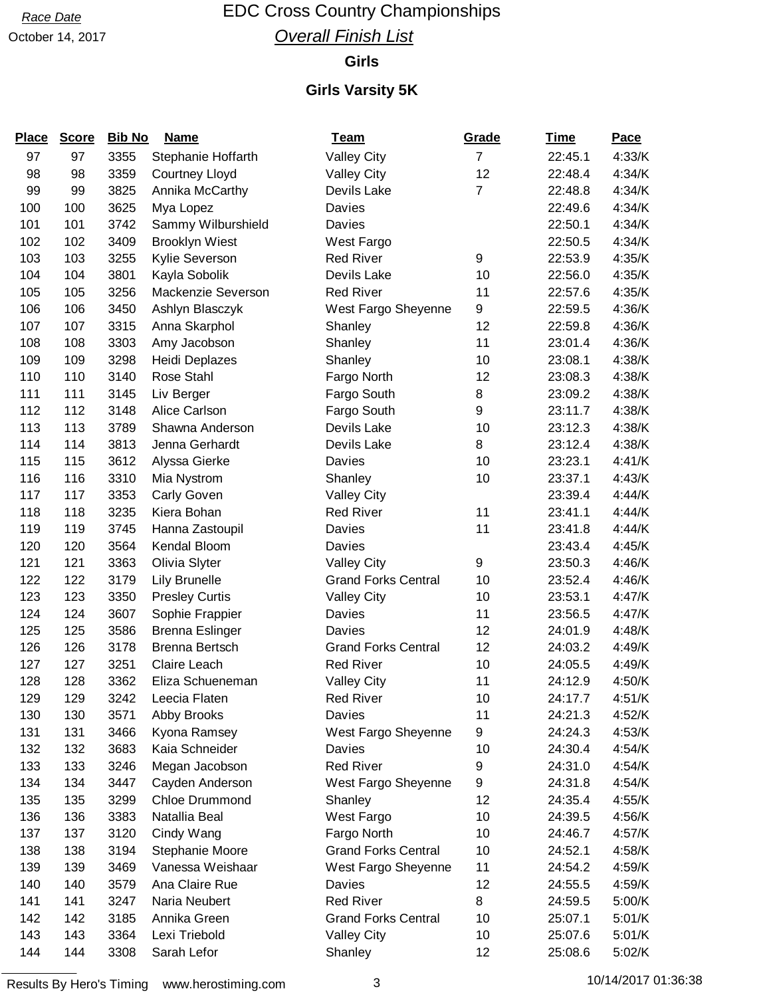## Race Date **EDC Cross Country Championships Overall Finish List**

#### **Girls**

### **Girls Varsity 5K**

| <b>Place</b> | <b>Score</b> | <b>Bib No</b> | <b>Name</b>            | <b>Team</b>                | Grade            | <u>Time</u> | Pace   |
|--------------|--------------|---------------|------------------------|----------------------------|------------------|-------------|--------|
| 97           | 97           | 3355          | Stephanie Hoffarth     | <b>Valley City</b>         | $\overline{7}$   | 22:45.1     | 4:33/K |
| 98           | 98           | 3359          | <b>Courtney Lloyd</b>  | <b>Valley City</b>         | 12               | 22:48.4     | 4:34/K |
| 99           | 99           | 3825          | Annika McCarthy        | Devils Lake                | $\overline{7}$   | 22:48.8     | 4:34/K |
| 100          | 100          | 3625          | Mya Lopez              | Davies                     |                  | 22:49.6     | 4:34/K |
| 101          | 101          | 3742          | Sammy Wilburshield     | Davies                     |                  | 22:50.1     | 4:34/K |
| 102          | 102          | 3409          | <b>Brooklyn Wiest</b>  | West Fargo                 |                  | 22:50.5     | 4:34/K |
| 103          | 103          | 3255          | Kylie Severson         | <b>Red River</b>           | $\boldsymbol{9}$ | 22:53.9     | 4:35/K |
| 104          | 104          | 3801          | Kayla Sobolik          | Devils Lake                | 10               | 22:56.0     | 4:35/K |
| 105          | 105          | 3256          | Mackenzie Severson     | <b>Red River</b>           | 11               | 22:57.6     | 4:35/K |
| 106          | 106          | 3450          | Ashlyn Blasczyk        | West Fargo Sheyenne        | 9                | 22:59.5     | 4:36/K |
| 107          | 107          | 3315          | Anna Skarphol          | Shanley                    | 12               | 22:59.8     | 4:36/K |
| 108          | 108          | 3303          | Amy Jacobson           | Shanley                    | 11               | 23:01.4     | 4:36/K |
| 109          | 109          | 3298          | Heidi Deplazes         | Shanley                    | 10               | 23:08.1     | 4:38/K |
| 110          | 110          | 3140          | Rose Stahl             | Fargo North                | 12               | 23:08.3     | 4:38/K |
| 111          | 111          | 3145          | Liv Berger             | Fargo South                | 8                | 23:09.2     | 4:38/K |
| 112          | 112          | 3148          | Alice Carlson          | Fargo South                | 9                | 23:11.7     | 4:38/K |
| 113          | 113          | 3789          | Shawna Anderson        | Devils Lake                | 10               | 23:12.3     | 4:38/K |
| 114          | 114          | 3813          | Jenna Gerhardt         | Devils Lake                | 8                | 23:12.4     | 4:38/K |
| 115          | 115          | 3612          | Alyssa Gierke          | Davies                     | 10               | 23:23.1     | 4:41/K |
| 116          | 116          | 3310          | Mia Nystrom            | Shanley                    | 10               | 23:37.1     | 4:43/K |
| 117          | 117          | 3353          | Carly Goven            | <b>Valley City</b>         |                  | 23:39.4     | 4:44/K |
| 118          | 118          | 3235          | Kiera Bohan            | <b>Red River</b>           | 11               | 23:41.1     | 4:44/K |
| 119          | 119          | 3745          | Hanna Zastoupil        | Davies                     | 11               | 23:41.8     | 4:44/K |
| 120          | 120          | 3564          | Kendal Bloom           | Davies                     |                  | 23:43.4     | 4:45/K |
| 121          | 121          | 3363          | Olivia Slyter          | <b>Valley City</b>         | 9                | 23:50.3     | 4:46/K |
| 122          | 122          | 3179          | Lily Brunelle          | <b>Grand Forks Central</b> | 10               | 23:52.4     | 4:46/K |
| 123          | 123          | 3350          | <b>Presley Curtis</b>  | <b>Valley City</b>         | 10               | 23:53.1     | 4:47/K |
| 124          | 124          | 3607          | Sophie Frappier        | Davies                     | 11               | 23:56.5     | 4:47/K |
| 125          | 125          | 3586          | <b>Brenna Eslinger</b> | Davies                     | 12               | 24:01.9     | 4:48/K |
| 126          | 126          | 3178          | <b>Brenna Bertsch</b>  | <b>Grand Forks Central</b> | 12               | 24:03.2     | 4:49/K |
| 127          | 127          | 3251          | Claire Leach           | <b>Red River</b>           | 10               | 24:05.5     | 4:49/K |
| 128          | 128          | 3362          | Eliza Schueneman       | <b>Valley City</b>         | 11               | 24:12.9     | 4:50/K |
| 129          | 129          | 3242          | Leecia Flaten          | <b>Red River</b>           | 10               | 24:17.7     | 4:51/K |
| 130          | 130          | 3571          | Abby Brooks            | Davies                     | 11               | 24:21.3     | 4:52/K |
| 131          | 131          | 3466          | Kyona Ramsey           | West Fargo Sheyenne        | 9                | 24:24.3     | 4:53/K |
| 132          | 132          | 3683          | Kaia Schneider         | Davies                     | 10               | 24:30.4     | 4:54/K |
| 133          | 133          | 3246          | Megan Jacobson         | <b>Red River</b>           | 9                | 24:31.0     | 4:54/K |
| 134          | 134          | 3447          | Cayden Anderson        | West Fargo Sheyenne        | 9                | 24:31.8     | 4:54/K |
| 135          | 135          | 3299          | <b>Chloe Drummond</b>  | Shanley                    | 12               | 24:35.4     | 4:55/K |
| 136          | 136          | 3383          | Natallia Beal          | West Fargo                 | 10               | 24:39.5     | 4:56/K |
| 137          | 137          | 3120          | Cindy Wang             | Fargo North                | 10               | 24:46.7     | 4:57/K |
| 138          | 138          | 3194          | Stephanie Moore        | <b>Grand Forks Central</b> | 10               | 24:52.1     | 4:58/K |
| 139          | 139          | 3469          | Vanessa Weishaar       | West Fargo Sheyenne        | 11               | 24:54.2     | 4:59/K |
| 140          | 140          | 3579          | Ana Claire Rue         | Davies                     | 12               | 24:55.5     | 4:59/K |
| 141          | 141          | 3247          | Naria Neubert          | <b>Red River</b>           | 8                | 24:59.5     | 5:00/K |
| 142          | 142          | 3185          | Annika Green           | <b>Grand Forks Central</b> | 10               | 25:07.1     | 5:01/K |
| 143          | 143          | 3364          | Lexi Triebold          | <b>Valley City</b>         | 10               | 25:07.6     | 5:01/K |
| 144          | 144          | 3308          | Sarah Lefor            | Shanley                    | 12               | 25:08.6     | 5:02/K |

Results By Hero's Timing www.herostiming.com 3 10/14/2017 01:36:38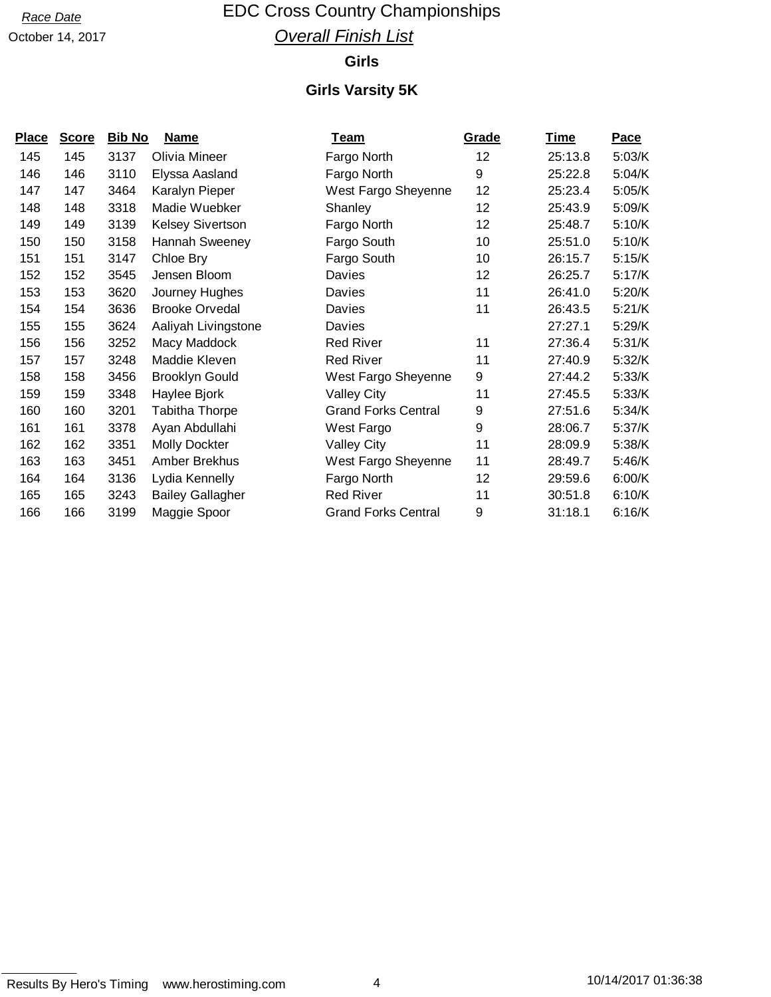## Race Date **EDC Cross Country Championships Overall Finish List**

#### **Girls**

| <u>Place</u> | <b>Score</b> | <b>Bib No</b> | <u>Name</u>             | <u>Team</u>                | Grade | <u>Time</u> | <b>Pace</b> |
|--------------|--------------|---------------|-------------------------|----------------------------|-------|-------------|-------------|
| 145          | 145          | 3137          | Olivia Mineer           | Fargo North                | 12    | 25:13.8     | 5:03/K      |
| 146          | 146          | 3110          | Elyssa Aasland          | Fargo North                | 9     | 25:22.8     | 5:04/K      |
| 147          | 147          | 3464          | Karalyn Pieper          | West Fargo Sheyenne        | 12    | 25:23.4     | 5:05/K      |
| 148          | 148          | 3318          | Madie Wuebker           | Shanley                    | 12    | 25:43.9     | 5:09/K      |
| 149          | 149          | 3139          | <b>Kelsey Sivertson</b> | Fargo North                | 12    | 25:48.7     | 5:10/K      |
| 150          | 150          | 3158          | Hannah Sweeney          | Fargo South                | 10    | 25:51.0     | 5:10/K      |
| 151          | 151          | 3147          | Chloe Bry               | Fargo South                | 10    | 26:15.7     | 5:15/K      |
| 152          | 152          | 3545          | Jensen Bloom            | Davies                     | 12    | 26:25.7     | 5:17/K      |
| 153          | 153          | 3620          | Journey Hughes          | Davies                     | 11    | 26:41.0     | 5:20/K      |
| 154          | 154          | 3636          | <b>Brooke Orvedal</b>   | Davies                     | 11    | 26:43.5     | 5:21/K      |
| 155          | 155          | 3624          | Aaliyah Livingstone     | Davies                     |       | 27:27.1     | 5:29/K      |
| 156          | 156          | 3252          | Macy Maddock            | <b>Red River</b>           | 11    | 27:36.4     | 5:31/K      |
| 157          | 157          | 3248          | Maddie Kleven           | <b>Red River</b>           | 11    | 27:40.9     | 5:32/K      |
| 158          | 158          | 3456          | <b>Brooklyn Gould</b>   | West Fargo Sheyenne        | 9     | 27:44.2     | 5:33/K      |
| 159          | 159          | 3348          | Haylee Bjork            | <b>Valley City</b>         | 11    | 27:45.5     | 5:33/K      |
| 160          | 160          | 3201          | Tabitha Thorpe          | <b>Grand Forks Central</b> | 9     | 27:51.6     | 5:34/K      |
| 161          | 161          | 3378          | Ayan Abdullahi          | West Fargo                 | 9     | 28:06.7     | 5:37/K      |
| 162          | 162          | 3351          | Molly Dockter           | <b>Valley City</b>         | 11    | 28:09.9     | 5:38/K      |
| 163          | 163          | 3451          | Amber Brekhus           | West Fargo Sheyenne        | 11    | 28:49.7     | 5:46/K      |
| 164          | 164          | 3136          | Lydia Kennelly          | Fargo North                | 12    | 29:59.6     | 6:00/K      |
| 165          | 165          | 3243          | <b>Bailey Gallagher</b> | <b>Red River</b>           | 11    | 30:51.8     | 6:10/K      |
| 166          | 166          | 3199          | Maggie Spoor            | <b>Grand Forks Central</b> | 9     | 31:18.1     | 6:16/K      |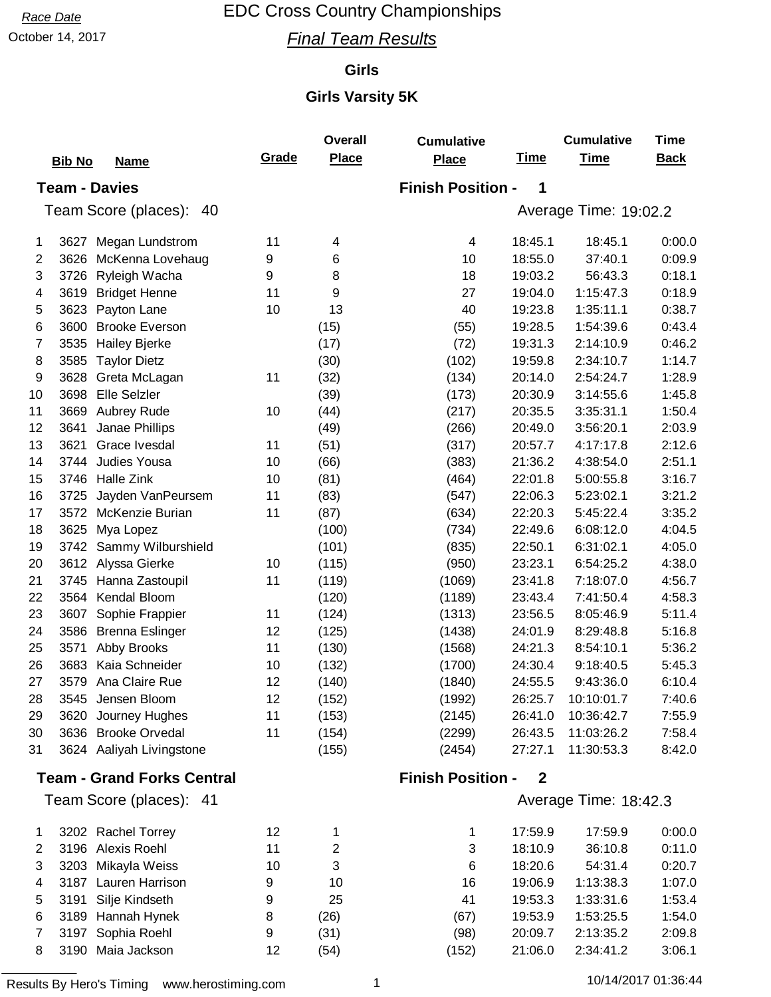October 14, 2017 **Final Team Results** 

### **Girls**

|    |                                   |       | <b>Overall</b> | <b>Cumulative</b>        |              | <b>Cumulative</b>     | <b>Time</b> |
|----|-----------------------------------|-------|----------------|--------------------------|--------------|-----------------------|-------------|
|    | <b>Bib No</b><br><b>Name</b>      | Grade | <b>Place</b>   | <b>Place</b>             | <b>Time</b>  | <b>Time</b>           | <b>Back</b> |
|    | <b>Team - Davies</b>              |       |                | <b>Finish Position -</b> | 1            |                       |             |
|    | Team Score (places): 40           |       |                |                          |              | Average Time: 19:02.2 |             |
|    |                                   |       |                |                          |              |                       |             |
| 1  | 3627<br>Megan Lundstrom           | 11    | 4              | 4                        | 18:45.1      | 18:45.1               | 0:00.0      |
| 2  | 3626<br>McKenna Lovehaug          | 9     | 6              | 10                       | 18:55.0      | 37:40.1               | 0:09.9      |
| 3  | 3726<br>Ryleigh Wacha             | 9     | 8              | 18                       | 19:03.2      | 56:43.3               | 0:18.1      |
| 4  | 3619<br><b>Bridget Henne</b>      | 11    | 9              | 27                       | 19:04.0      | 1:15:47.3             | 0:18.9      |
| 5  | 3623<br>Payton Lane               | 10    | 13             | 40                       | 19:23.8      | 1:35:11.1             | 0:38.7      |
| 6  | 3600<br><b>Brooke Everson</b>     |       | (15)           | (55)                     | 19:28.5      | 1:54:39.6             | 0:43.4      |
| 7  | 3535<br><b>Hailey Bjerke</b>      |       | (17)           | (72)                     | 19:31.3      | 2:14:10.9             | 0:46.2      |
| 8  | 3585<br><b>Taylor Dietz</b>       |       | (30)           | (102)                    | 19:59.8      | 2:34:10.7             | 1:14.7      |
| 9  | 3628<br>Greta McLagan             | 11    | (32)           | (134)                    | 20:14.0      | 2:54:24.7             | 1:28.9      |
| 10 | <b>Elle Selzler</b><br>3698       |       | (39)           | (173)                    | 20:30.9      | 3:14:55.6             | 1:45.8      |
| 11 | 3669<br>Aubrey Rude               | 10    | (44)           | (217)                    | 20:35.5      | 3:35:31.1             | 1:50.4      |
| 12 | 3641<br>Janae Phillips            |       | (49)           | (266)                    | 20:49.0      | 3:56:20.1             | 2:03.9      |
| 13 | Grace Ivesdal<br>3621             | 11    | (51)           | (317)                    | 20:57.7      | 4:17:17.8             | 2:12.6      |
| 14 | Judies Yousa<br>3744              | 10    | (66)           | (383)                    | 21:36.2      | 4:38:54.0             | 2:51.1      |
| 15 | Halle Zink<br>3746                | 10    | (81)           | (464)                    | 22:01.8      | 5:00:55.8             | 3:16.7      |
| 16 | 3725<br>Jayden VanPeursem         | 11    | (83)           | (547)                    | 22:06.3      | 5:23:02.1             | 3:21.2      |
| 17 | 3572<br>McKenzie Burian           | 11    | (87)           | (634)                    | 22:20.3      | 5:45:22.4             | 3:35.2      |
| 18 | 3625<br>Mya Lopez                 |       | (100)          | (734)                    | 22:49.6      | 6:08:12.0             | 4:04.5      |
| 19 | Sammy Wilburshield<br>3742        |       | (101)          | (835)                    | 22:50.1      | 6:31:02.1             | 4:05.0      |
| 20 | 3612<br>Alyssa Gierke             | 10    | (115)          | (950)                    | 23:23.1      | 6:54:25.2             | 4:38.0      |
| 21 | 3745<br>Hanna Zastoupil           | 11    | (119)          | (1069)                   | 23:41.8      | 7:18:07.0             | 4:56.7      |
| 22 | 3564<br>Kendal Bloom              |       | (120)          | (1189)                   | 23:43.4      | 7:41:50.4             | 4:58.3      |
| 23 | 3607<br>Sophie Frappier           | 11    | (124)          | (1313)                   | 23:56.5      | 8:05:46.9             | 5:11.4      |
| 24 | 3586<br><b>Brenna Eslinger</b>    | 12    | (125)          | (1438)                   | 24:01.9      | 8:29:48.8             | 5:16.8      |
| 25 | Abby Brooks<br>3571               | 11    | (130)          | (1568)                   | 24:21.3      | 8:54:10.1             | 5:36.2      |
| 26 | Kaia Schneider<br>3683            | 10    | (132)          | (1700)                   | 24:30.4      | 9:18:40.5             | 5:45.3      |
| 27 | Ana Claire Rue<br>3579            | 12    | (140)          | (1840)                   | 24:55.5      | 9:43:36.0             | 6:10.4      |
| 28 | 3545 Jensen Bloom                 | 12    | (152)          | (1992)                   | 26:25.7      | 10:10:01.7            | 7:40.6      |
| 29 | Journey Hughes<br>3620            | 11    | (153)          | (2145)                   | 26:41.0      | 10:36:42.7            | 7:55.9      |
| 30 | <b>Brooke Orvedal</b><br>3636     | 11    | (154)          | (2299)                   | 26:43.5      | 11:03:26.2            | 7:58.4      |
| 31 | 3624 Aaliyah Livingstone          |       | (155)          | (2454)                   | 27:27.1      | 11:30:53.3            | 8:42.0      |
|    | <b>Team - Grand Forks Central</b> |       |                | <b>Finish Position -</b> | $\mathbf{2}$ |                       |             |
|    | Team Score (places): 41           |       |                |                          |              | Average Time: 18:42.3 |             |
| 1  | 3202 Rachel Torrey                | 12    | 1              | 1                        | 17:59.9      | 17:59.9               | 0:00.0      |
| 2  | 3196 Alexis Roehl                 | 11    | $\overline{c}$ | 3                        | 18:10.9      | 36:10.8               | 0:11.0      |
| 3  | 3203<br>Mikayla Weiss             | 10    | 3              | 6                        | 18:20.6      | 54:31.4               | 0:20.7      |
| 4  | 3187<br>Lauren Harrison           | 9     | 10             | 16                       | 19:06.9      | 1:13:38.3             | 1:07.0      |
| 5  | Silje Kindseth<br>3191            | 9     | 25             | 41                       | 19:53.3      | 1:33:31.6             | 1:53.4      |
| 6  | 3189 Hannah Hynek                 | 8     | (26)           | (67)                     | 19:53.9      | 1:53:25.5             | 1:54.0      |
| 7  | Sophia Roehl<br>3197              | 9     | (31)           | (98)                     | 20:09.7      | 2:13:35.2             | 2:09.8      |
| 8  | 3190 Maia Jackson                 | 12    | (54)           | (152)                    | 21:06.0      | 2:34:41.2             | 3:06.1      |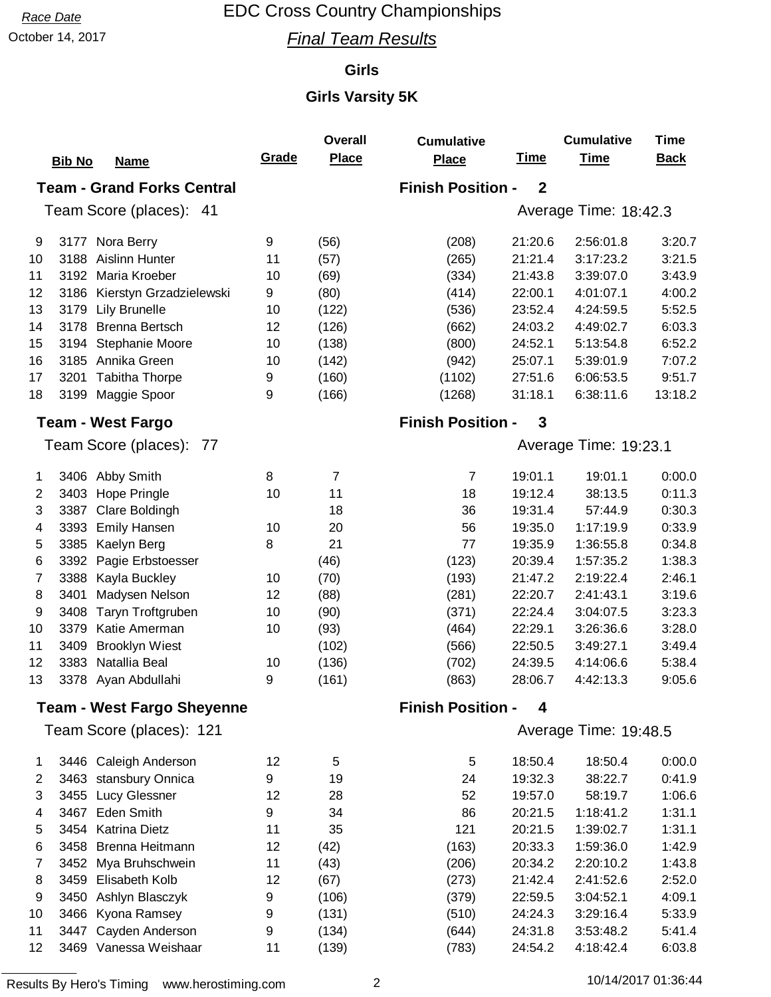October 14, 2017 **Final Team Results** 

#### **Girls**

### **Girls Varsity 5K**

|                                                                                   |                                   |       | Overall        | <b>Cumulative</b>        |             | <b>Cumulative</b>     | <b>Time</b> |  |
|-----------------------------------------------------------------------------------|-----------------------------------|-------|----------------|--------------------------|-------------|-----------------------|-------------|--|
|                                                                                   | <b>Bib No</b><br><b>Name</b>      | Grade | Place          | <b>Place</b>             | <b>Time</b> | <b>Time</b>           | <b>Back</b> |  |
| <b>Team - Grand Forks Central</b><br><b>Finish Position -</b><br>$\boldsymbol{2}$ |                                   |       |                |                          |             |                       |             |  |
|                                                                                   | Team Score (places): 41           |       |                |                          |             | Average Time: 18:42.3 |             |  |
|                                                                                   |                                   |       |                |                          |             |                       |             |  |
| 9                                                                                 | Nora Berry<br>3177                | 9     | (56)           | (208)                    | 21:20.6     | 2:56:01.8             | 3:20.7      |  |
| 10                                                                                | <b>Aislinn Hunter</b><br>3188     | 11    | (57)           | (265)                    | 21:21.4     | 3:17:23.2             | 3:21.5      |  |
| 11                                                                                | 3192<br>Maria Kroeber             | 10    | (69)           | (334)                    | 21:43.8     | 3:39:07.0             | 3:43.9      |  |
| 12                                                                                | Kierstyn Grzadzielewski<br>3186   | 9     | (80)           | (414)                    | 22:00.1     | 4:01:07.1             | 4:00.2      |  |
| 13                                                                                | 3179<br>Lily Brunelle             | 10    | (122)          | (536)                    | 23:52.4     | 4:24:59.5             | 5:52.5      |  |
| 14                                                                                | 3178<br><b>Brenna Bertsch</b>     | 12    | (126)          | (662)                    | 24:03.2     | 4:49:02.7             | 6:03.3      |  |
| 15                                                                                | Stephanie Moore<br>3194           | 10    | (138)          | (800)                    | 24:52.1     | 5:13:54.8             | 6:52.2      |  |
| 16                                                                                | Annika Green<br>3185              | 10    | (142)          | (942)                    | 25:07.1     | 5:39:01.9             | 7:07.2      |  |
| 17                                                                                | <b>Tabitha Thorpe</b><br>3201     | 9     | (160)          | (1102)                   | 27:51.6     | 6:06:53.5             | 9:51.7      |  |
| 18                                                                                | 3199<br>Maggie Spoor              | 9     | (166)          | (1268)                   | 31:18.1     | 6:38:11.6             | 13:18.2     |  |
|                                                                                   | <b>Team - West Fargo</b>          |       |                | <b>Finish Position -</b> | 3           |                       |             |  |
|                                                                                   | Team Score (places): 77           |       |                |                          |             | Average Time: 19:23.1 |             |  |
| 1                                                                                 | 3406 Abby Smith                   | 8     | $\overline{7}$ | $\overline{7}$           | 19:01.1     | 19:01.1               | 0:00.0      |  |
| $\overline{2}$                                                                    | 3403<br>Hope Pringle              | 10    | 11             | 18                       | 19:12.4     | 38:13.5               | 0:11.3      |  |
| 3                                                                                 | Clare Boldingh<br>3387            |       | 18             | 36                       | 19:31.4     | 57:44.9               | 0:30.3      |  |
| 4                                                                                 | <b>Emily Hansen</b><br>3393       | 10    | 20             | 56                       | 19:35.0     | 1:17:19.9             | 0:33.9      |  |
| 5                                                                                 | 3385<br>Kaelyn Berg               | 8     | 21             | 77                       | 19:35.9     | 1:36:55.8             | 0:34.8      |  |
| 6                                                                                 | 3392<br>Pagie Erbstoesser         |       | (46)           | (123)                    | 20:39.4     | 1:57:35.2             | 1:38.3      |  |
| 7                                                                                 | 3388<br>Kayla Buckley             | 10    | (70)           | (193)                    | 21:47.2     | 2:19:22.4             | 2:46.1      |  |
| 8                                                                                 | 3401<br>Madysen Nelson            | 12    | (88)           | (281)                    | 22:20.7     | 2:41:43.1             | 3:19.6      |  |
| 9                                                                                 | 3408<br>Taryn Troftgruben         | 10    | (90)           | (371)                    | 22:24.4     | 3:04:07.5             | 3:23.3      |  |
| 10                                                                                | Katie Amerman<br>3379             | 10    | (93)           | (464)                    | 22:29.1     | 3:26:36.6             | 3:28.0      |  |
| 11                                                                                | 3409<br><b>Brooklyn Wiest</b>     |       | (102)          | (566)                    | 22:50.5     | 3:49:27.1             | 3:49.4      |  |
| 12                                                                                | Natallia Beal<br>3383             | 10    | (136)          | (702)                    | 24:39.5     | 4:14:06.6             | 5:38.4      |  |
| 13                                                                                | 3378 Ayan Abdullahi               | 9     | (161)          | (863)                    | 28:06.7     | 4:42:13.3             | 9:05.6      |  |
|                                                                                   | <b>Team - West Fargo Sheyenne</b> |       |                | <b>Finish Position -</b> | 4           |                       |             |  |
|                                                                                   | Team Score (places): 121          |       |                |                          |             | Average Time: 19:48.5 |             |  |
| 1                                                                                 | 3446 Caleigh Anderson             | 12    | 5              | 5                        | 18:50.4     | 18:50.4               | 0:00.0      |  |
| 2                                                                                 | stansbury Onnica<br>3463          | 9     | 19             | 24                       | 19:32.3     | 38:22.7               | 0:41.9      |  |
| 3                                                                                 | Lucy Glessner<br>3455             | 12    | 28             | 52                       | 19:57.0     | 58:19.7               | 1:06.6      |  |
| 4                                                                                 | Eden Smith<br>3467                | 9     | 34             | 86                       | 20:21.5     | 1:18:41.2             | 1:31.1      |  |
| 5                                                                                 | <b>Katrina Dietz</b><br>3454      | 11    | 35             | 121                      | 20:21.5     | 1:39:02.7             | 1:31.1      |  |
| 6                                                                                 | 3458<br><b>Brenna Heitmann</b>    | 12    | (42)           | (163)                    | 20:33.3     | 1:59:36.0             | 1:42.9      |  |
| 7                                                                                 | 3452<br>Mya Bruhschwein           | 11    | (43)           | (206)                    | 20:34.2     | 2:20:10.2             | 1:43.8      |  |
| 8                                                                                 | 3459<br>Elisabeth Kolb            | 12    | (67)           | (273)                    | 21:42.4     | 2:41:52.6             | 2:52.0      |  |
| 9                                                                                 | Ashlyn Blasczyk<br>3450           | 9     | (106)          | (379)                    | 22:59.5     | 3:04:52.1             | 4:09.1      |  |
| 10                                                                                | Kyona Ramsey<br>3466              | 9     | (131)          | (510)                    | 24:24.3     | 3:29:16.4             | 5:33.9      |  |
| 11                                                                                | Cayden Anderson<br>3447           | 9     | (134)          | (644)                    | 24:31.8     | 3:53:48.2             | 5:41.4      |  |
| 12                                                                                | 3469 Vanessa Weishaar             | 11    | (139)          | (783)                    | 24:54.2     | 4:18:42.4             | 6:03.8      |  |

Results By Hero's Timing www.herostiming.com 2 2 10/14/2017 01:36:44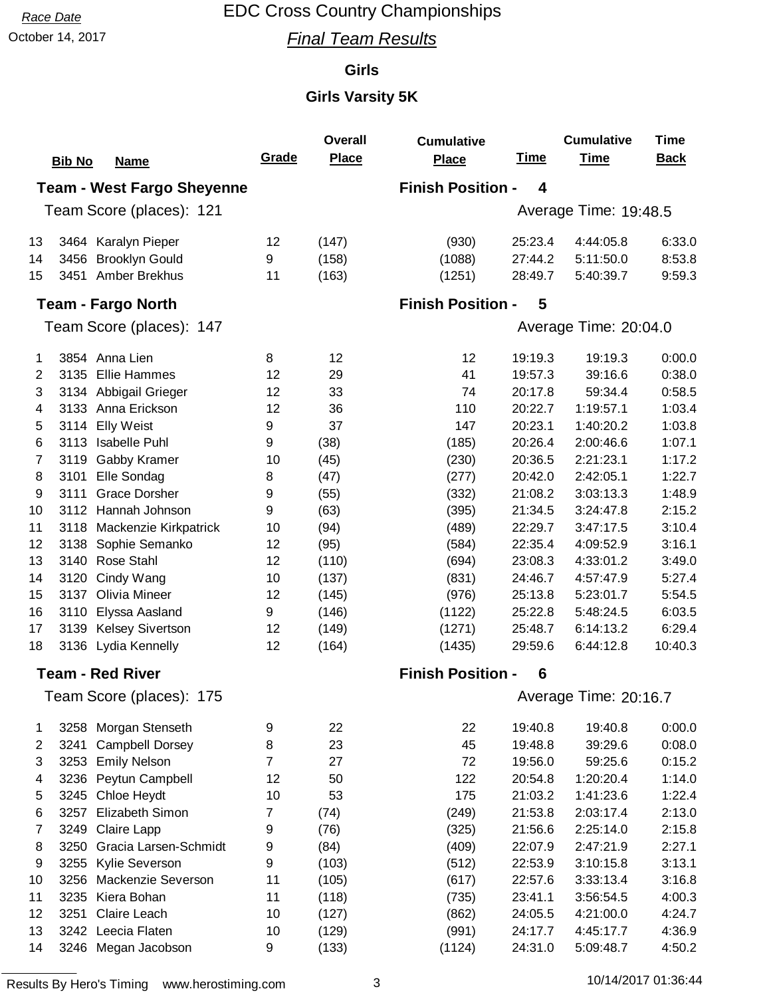October 14, 2017 **Final Team Results** 

#### **Girls**

### **Girls Varsity 5K**

|                |                                                                    |                | <b>Overall</b> | <b>Cumulative</b>        |             | <b>Cumulative</b>     | <b>Time</b> |  |  |  |
|----------------|--------------------------------------------------------------------|----------------|----------------|--------------------------|-------------|-----------------------|-------------|--|--|--|
|                | <b>Bib No</b><br><b>Name</b>                                       | <b>Grade</b>   | <b>Place</b>   | Place                    | <b>Time</b> | <b>Time</b>           | <b>Back</b> |  |  |  |
|                | <b>Finish Position -</b><br><b>Team - West Fargo Sheyenne</b><br>4 |                |                |                          |             |                       |             |  |  |  |
|                | Team Score (places): 121                                           |                |                |                          |             | Average Time: 19:48.5 |             |  |  |  |
| 13             | 3464 Karalyn Pieper                                                | 12             | (147)          | (930)                    | 25:23.4     | 4:44:05.8             | 6:33.0      |  |  |  |
| 14             | <b>Brooklyn Gould</b><br>3456                                      | 9              | (158)          | (1088)                   | 27:44.2     | 5:11:50.0             | 8:53.8      |  |  |  |
| 15             | 3451 Amber Brekhus                                                 | 11             | (163)          | (1251)                   | 28:49.7     | 5:40:39.7             | 9:59.3      |  |  |  |
|                | <b>Team - Fargo North</b>                                          |                |                | <b>Finish Position -</b> | 5           |                       |             |  |  |  |
|                | Team Score (places): 147                                           |                |                |                          |             | Average Time: 20:04.0 |             |  |  |  |
| 1              | 3854 Anna Lien                                                     | 8              | 12             | 12                       | 19:19.3     | 19:19.3               | 0:00.0      |  |  |  |
| $\overline{2}$ | <b>Ellie Hammes</b><br>3135                                        | 12             | 29             | 41                       | 19:57.3     | 39:16.6               | 0:38.0      |  |  |  |
| 3              | 3134 Abbigail Grieger                                              | 12             | 33             | 74                       | 20:17.8     | 59:34.4               | 0:58.5      |  |  |  |
| 4              | 3133 Anna Erickson                                                 | 12             | 36             | 110                      | 20:22.7     | 1:19:57.1             | 1:03.4      |  |  |  |
| 5              | <b>Elly Weist</b><br>3114                                          | 9              | 37             | 147                      | 20:23.1     | 1:40:20.2             | 1:03.8      |  |  |  |
| 6              | Isabelle Puhl<br>3113                                              | 9              | (38)           | (185)                    | 20:26.4     | 2:00:46.6             | 1:07.1      |  |  |  |
| 7              | Gabby Kramer<br>3119                                               | 10             | (45)           | (230)                    | 20:36.5     | 2:21:23.1             | 1:17.2      |  |  |  |
| 8              | Elle Sondag<br>3101                                                | 8              | (47)           | (277)                    | 20:42.0     | 2:42:05.1             | 1:22.7      |  |  |  |
| 9              | 3111<br><b>Grace Dorsher</b>                                       | 9              | (55)           | (332)                    | 21:08.2     | 3:03:13.3             | 1:48.9      |  |  |  |
| 10             | Hannah Johnson<br>3112                                             | 9              | (63)           | (395)                    | 21:34.5     | 3:24:47.8             | 2:15.2      |  |  |  |
| 11             | Mackenzie Kirkpatrick<br>3118                                      | 10             | (94)           | (489)                    | 22:29.7     | 3:47:17.5             | 3:10.4      |  |  |  |
| 12             | Sophie Semanko<br>3138                                             | 12             | (95)           | (584)                    | 22:35.4     | 4:09:52.9             | 3:16.1      |  |  |  |
| 13             | Rose Stahl<br>3140                                                 | 12             | (110)          | (694)                    | 23:08.3     | 4:33:01.2             | 3:49.0      |  |  |  |
| 14             | Cindy Wang<br>3120                                                 | 10             | (137)          | (831)                    | 24:46.7     | 4:57:47.9             | 5:27.4      |  |  |  |
| 15             | Olivia Mineer<br>3137                                              | 12             | (145)          | (976)                    | 25:13.8     | 5:23:01.7             | 5:54.5      |  |  |  |
| 16             | Elyssa Aasland<br>3110                                             | 9              | (146)          | (1122)                   | 25:22.8     | 5:48:24.5             | 6:03.5      |  |  |  |
| 17             | 3139 Kelsey Sivertson                                              | 12             | (149)          | (1271)                   | 25:48.7     | 6:14:13.2             | 6:29.4      |  |  |  |
| 18             | 3136 Lydia Kennelly                                                | 12             | (164)          | (1435)                   | 29:59.6     | 6:44:12.8             | 10:40.3     |  |  |  |
|                | <b>Team - Red River</b>                                            |                |                | <b>Finish Position -</b> | 6           |                       |             |  |  |  |
|                | Team Score (places): 175                                           |                |                |                          |             | Average Time: 20:16.7 |             |  |  |  |
|                |                                                                    |                |                |                          |             |                       |             |  |  |  |
| 1              | 3258 Morgan Stenseth                                               | 9              | 22             | 22                       | 19:40.8     | 19:40.8               | 0:00.0      |  |  |  |
| 2              | 3241<br><b>Campbell Dorsey</b>                                     | 8              | 23             | 45                       | 19:48.8     | 39:29.6               | 0.08.0      |  |  |  |
| 3              | <b>Emily Nelson</b><br>3253                                        | $\overline{7}$ | 27             | 72                       | 19:56.0     | 59:25.6               | 0:15.2      |  |  |  |
| 4              | Peytun Campbell<br>3236                                            | 12             | 50             | 122                      | 20:54.8     | 1:20:20.4             | 1:14.0      |  |  |  |
| 5              | Chloe Heydt<br>3245                                                | 10             | 53             | 175                      | 21:03.2     | 1:41:23.6             | 1:22.4      |  |  |  |
| 6              | Elizabeth Simon<br>3257                                            | $\overline{7}$ | (74)           | (249)                    | 21:53.8     | 2:03:17.4             | 2:13.0      |  |  |  |
| 7              | 3249<br>Claire Lapp                                                | 9              | (76)           | (325)                    | 21:56.6     | 2:25:14.0             | 2:15.8      |  |  |  |
| 8              | 3250<br>Gracia Larsen-Schmidt                                      | 9              | (84)           | (409)                    | 22:07.9     | 2:47:21.9             | 2:27.1      |  |  |  |
| 9              | 3255<br>Kylie Severson                                             | 9              | (103)          | (512)                    | 22:53.9     | 3:10:15.8             | 3:13.1      |  |  |  |
| 10             | Mackenzie Severson<br>3256                                         | 11             | (105)          | (617)                    | 22:57.6     | 3:33:13.4             | 3:16.8      |  |  |  |
| 11             | Kiera Bohan<br>3235                                                | 11             | (118)          | (735)                    | 23:41.1     | 3:56:54.5             | 4:00.3      |  |  |  |
| 12             | Claire Leach<br>3251                                               | 10             | (127)          | (862)                    | 24:05.5     | 4:21:00.0             | 4:24.7      |  |  |  |
| 13             | 3242 Leecia Flaten                                                 | 10             | (129)          | (991)                    | 24:17.7     | 4:45:17.7             | 4:36.9      |  |  |  |
| 14             | 3246 Megan Jacobson                                                | 9              | (133)          | (1124)                   | 24:31.0     | 5:09:48.7             | 4:50.2      |  |  |  |

Results By Hero's Timing www.herostiming.com 3 10/14/2017 01:36:44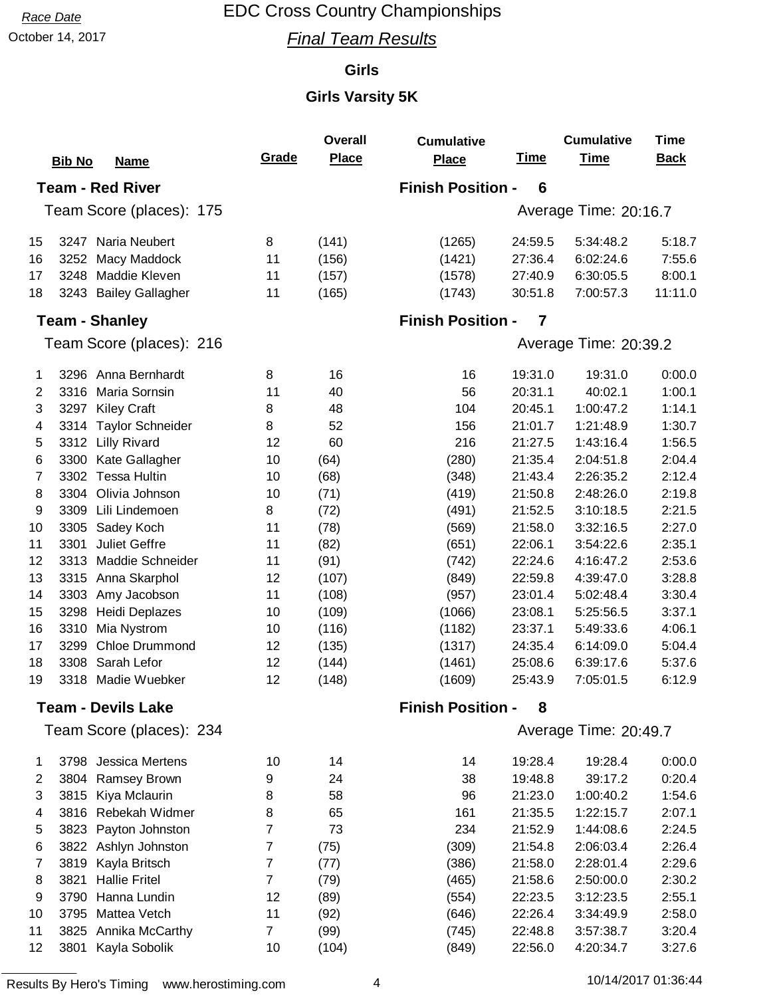October 14, 2017 **Final Team Results** 

#### **Girls**

|                                                          |                                 |                | <b>Overall</b> | <b>Cumulative</b>        |             | <b>Cumulative</b>     | <b>Time</b> |
|----------------------------------------------------------|---------------------------------|----------------|----------------|--------------------------|-------------|-----------------------|-------------|
|                                                          | <b>Bib No</b><br><b>Name</b>    | Grade          | <b>Place</b>   | <b>Place</b>             | <u>Time</u> | <b>Time</b>           | <b>Back</b> |
| <b>Finish Position -</b><br><b>Team - Red River</b><br>6 |                                 |                |                |                          |             |                       |             |
|                                                          | Team Score (places): 175        |                |                |                          |             | Average Time: 20:16.7 |             |
|                                                          |                                 |                |                |                          |             |                       |             |
| 15                                                       | Naria Neubert<br>3247           | 8              | (141)          | (1265)                   | 24:59.5     | 5:34:48.2             | 5:18.7      |
| 16                                                       | Macy Maddock<br>3252            | 11             | (156)          | (1421)                   | 27:36.4     | 6:02:24.6             | 7:55.6      |
| 17                                                       | 3248<br>Maddie Kleven           | 11             | (157)          | (1578)                   | 27:40.9     | 6:30:05.5             | 8:00.1      |
| 18                                                       | <b>Bailey Gallagher</b><br>3243 | 11             | (165)          | (1743)                   | 30:51.8     | 7:00:57.3             | 11:11.0     |
|                                                          | <b>Team - Shanley</b>           |                |                | <b>Finish Position -</b> | 7           |                       |             |
|                                                          | Team Score (places): 216        |                |                |                          |             | Average Time: 20:39.2 |             |
| 1                                                        | 3296 Anna Bernhardt             | 8              | 16             | 16                       | 19:31.0     | 19:31.0               | 0:00.0      |
| 2                                                        | Maria Sornsin<br>3316           | 11             | 40             | 56                       | 20:31.1     | 40:02.1               | 1:00.1      |
| 3                                                        | <b>Kiley Craft</b><br>3297      | 8              | 48             | 104                      | 20:45.1     | 1:00:47.2             | 1:14.1      |
| 4                                                        | <b>Taylor Schneider</b><br>3314 | 8              | 52             | 156                      | 21:01.7     | 1:21:48.9             | 1:30.7      |
| 5                                                        | 3312<br><b>Lilly Rivard</b>     | 12             | 60             | 216                      | 21:27.5     | 1:43:16.4             | 1:56.5      |
| 6                                                        | Kate Gallagher<br>3300          | 10             | (64)           | (280)                    | 21:35.4     | 2:04:51.8             | 2:04.4      |
| 7                                                        | <b>Tessa Hultin</b><br>3302     | 10             | (68)           | (348)                    | 21:43.4     | 2:26:35.2             | 2:12.4      |
| 8                                                        | Olivia Johnson<br>3304          | 10             | (71)           | (419)                    | 21:50.8     | 2:48:26.0             | 2:19.8      |
| 9                                                        | 3309<br>Lili Lindemoen          | 8              | (72)           | (491)                    | 21:52.5     | 3:10:18.5             | 2:21.5      |
| 10                                                       | 3305<br>Sadey Koch              | 11             | (78)           | (569)                    | 21:58.0     | 3:32:16.5             | 2:27.0      |
| 11                                                       | <b>Juliet Geffre</b><br>3301    | 11             | (82)           | (651)                    | 22:06.1     | 3:54:22.6             | 2:35.1      |
| 12                                                       | Maddie Schneider<br>3313        | 11             | (91)           | (742)                    | 22:24.6     | 4:16:47.2             | 2:53.6      |
| 13                                                       | Anna Skarphol<br>3315           | 12             | (107)          | (849)                    | 22:59.8     | 4:39:47.0             | 3:28.8      |
| 14                                                       | Amy Jacobson<br>3303            | 11             | (108)          | (957)                    | 23:01.4     | 5:02:48.4             | 3:30.4      |
| 15                                                       | 3298<br>Heidi Deplazes          | 10             | (109)          | (1066)                   | 23:08.1     | 5:25:56.5             | 3:37.1      |
| 16                                                       | 3310<br>Mia Nystrom             | 10             | (116)          | (1182)                   | 23:37.1     | 5:49:33.6             | 4:06.1      |
| 17                                                       | <b>Chloe Drummond</b><br>3299   | 12             | (135)          | (1317)                   | 24:35.4     | 6:14:09.0             | 5:04.4      |
| 18                                                       | Sarah Lefor<br>3308             | 12             | (144)          | (1461)                   | 25:08.6     | 6:39:17.6             | 5:37.6      |
| 19                                                       | Madie Wuebker<br>3318           | 12             | (148)          | (1609)                   | 25:43.9     | 7:05:01.5             | 6:12.9      |
|                                                          | <b>Team - Devils Lake</b>       |                |                | <b>Finish Position -</b> | 8           |                       |             |
|                                                          | Team Score (places): 234        |                |                |                          |             | Average Time: 20:49.7 |             |
| 1                                                        | 3798 Jessica Mertens            | 10             | 14             | 14                       | 19:28.4     | 19:28.4               | 0:00.0      |
| $\overline{2}$                                           | Ramsey Brown<br>3804            | 9              | 24             | 38                       | 19:48.8     | 39:17.2               | 0:20.4      |
| 3                                                        | Kiya Mclaurin<br>3815           | 8              | 58             | 96                       | 21:23.0     | 1:00:40.2             | 1:54.6      |
| 4                                                        | Rebekah Widmer<br>3816          | 8              | 65             | 161                      | 21:35.5     | 1:22:15.7             | 2:07.1      |
| 5                                                        | Payton Johnston<br>3823         | 7              | 73             | 234                      | 21:52.9     | 1:44:08.6             | 2:24.5      |
| 6                                                        | 3822<br>Ashlyn Johnston         | 7              | (75)           | (309)                    | 21:54.8     | 2:06:03.4             | 2:26.4      |
| 7                                                        | Kayla Britsch<br>3819           | 7              | (77)           | (386)                    | 21:58.0     | 2:28:01.4             | 2:29.6      |
| 8                                                        | 3821<br><b>Hallie Fritel</b>    | $\overline{7}$ | (79)           | (465)                    | 21:58.6     | 2:50:00.0             | 2:30.2      |
| 9                                                        | 3790<br>Hanna Lundin            | 12             | (89)           | (554)                    | 22:23.5     | 3:12:23.5             | 2:55.1      |
| 10                                                       | Mattea Vetch<br>3795            | 11             | (92)           | (646)                    | 22:26.4     | 3:34:49.9             | 2:58.0      |
| 11                                                       | Annika McCarthy<br>3825         | $\overline{7}$ | (99)           | (745)                    | 22:48.8     | 3:57:38.7             | 3:20.4      |
| 12                                                       | Kayla Sobolik<br>3801           | 10             | (104)          | (849)                    | 22:56.0     | 4:20:34.7             | 3:27.6      |